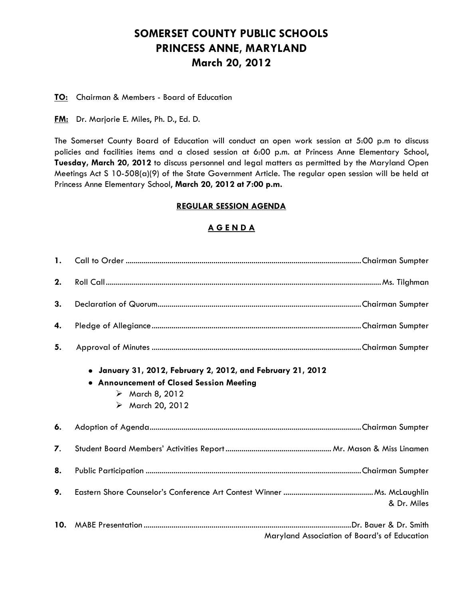# **SOMERSET COUNTY PUBLIC SCHOOLS PRINCESS ANNE, MARYLAND March 20, 2012**

### **TO:** Chairman & Members - Board of Education

**FM:** Dr. Marjorie E. Miles, Ph. D., Ed. D.

The Somerset County Board of Education will conduct an open work session at 5:00 p.m to discuss policies and facilities items and a closed session at 6:00 p.m. at Princess Anne Elementary School, **Tuesday, March 20, 2012** to discuss personnel and legal matters as permitted by the Maryland Open Meetings Act S 10-508(a)(9) of the State Government Article. The regular open session will be held at Princess Anne Elementary School, **March 20, 2012 at 7:00 p.m.**

### **REGULAR SESSION AGENDA**

### **A G E N D A**

| $\mathbf{1}$ . |                                                                                                                                                                              |  |
|----------------|------------------------------------------------------------------------------------------------------------------------------------------------------------------------------|--|
| 2.             |                                                                                                                                                                              |  |
| 3.             |                                                                                                                                                                              |  |
| 4.             |                                                                                                                                                                              |  |
| 5.             |                                                                                                                                                                              |  |
|                | • January 31, 2012, February 2, 2012, and February 21, 2012<br>• Announcement of Closed Session Meeting<br>$\triangleright$ March 8, 2012<br>$\triangleright$ March 20, 2012 |  |
| 6.             |                                                                                                                                                                              |  |
| 7.             |                                                                                                                                                                              |  |
| 8.             |                                                                                                                                                                              |  |
| 9.             | & Dr. Miles                                                                                                                                                                  |  |
| 10.            | Maryland Association of Board's of Education                                                                                                                                 |  |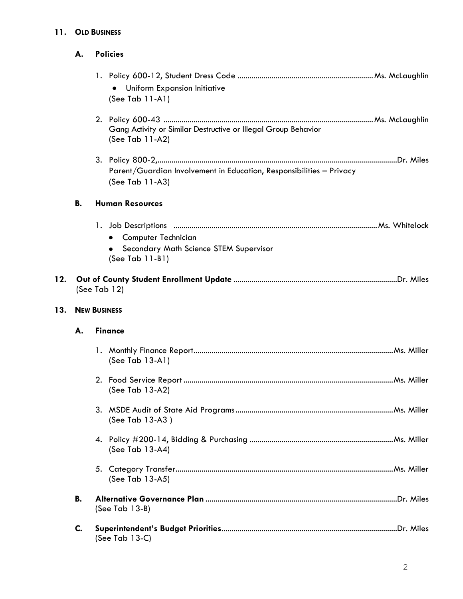### **11. OLD BUSINESS**

| <b>Policies</b><br>А. |
|-----------------------|
|                       |

| • Uniform Expansion Initiative |  |
|--------------------------------|--|
| $(See Tab 11-A1)$              |  |

- 2. Policy 600-43 .........................................................................................................Ms. McLaughlin Gang Activity or Similar Destructive or Illegal Group Behavior (See Tab 11-A2)
- 3. Policy 800-2,........................................................................................................................Dr. Miles Parent/Guardian Involvement in Education, Responsibilities – Privacy (See Tab 11-A3)

### **B. Human Resources**

## 1. Job Descriptions ......................................................................................................Ms. Whitelock

- **•** Computer Technician
- **•** Secondary Math Science STEM Supervisor (See Tab 11-B1)

## **12. Out of County Student Enrollment Update** ..................................................................................Dr. Miles (See Tab 12)

### **13. NEW BUSINESS**

### **A. Finance**

|    | (See Tab 13-A1)  |
|----|------------------|
|    | (See Tab 13-A2)  |
|    | (See Tab 13-A3 ) |
|    | (See Tab 13-A4)  |
|    | (See Tab 13-A5)  |
| В. | (See Tab 13-B)   |
| C. | (See Tab 13-C)   |